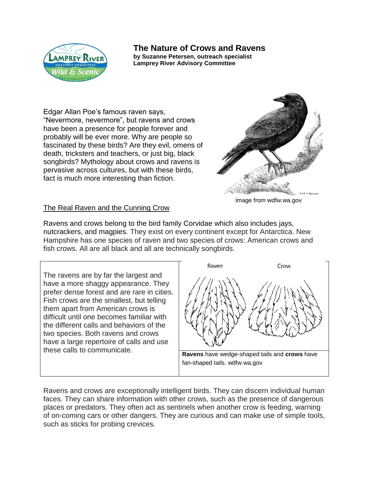

## **The Nature of Crows and Ravens**

**by Suzanne Petersen, outreach specialist Lamprey River Advisory Committee**

Edgar Allan Poe's famous raven says, "Nevermore, nevermore", but ravens and crows have been a presence for people forever and probably will be ever more. Why are people so fascinated by these birds? Are they evil, omens of death, tricksters and teachers, or just big, black songbirds? Mythology about crows and ravens is pervasive across cultures, but with these birds, fact is much more interesting than fiction.



The Real Raven and the Cunning Crow

Ravens and crows belong to the bird family Corvidae which also includes jays, nutcrackers, and magpies. They exist on every continent except for Antarctica. New Hampshire has one species of raven and two species of crows: American crows and fish crows. All are all black and all are technically songbirds.

The ravens are by far the largest and have a more shaggy appearance. They prefer dense forest and are rare in cities. Fish crows are the smallest, but telling them apart from American crows is difficult until one becomes familiar with the different calls and behaviors of the two species. Both ravens and crows have a large repertoire of calls and use



Ravens and crows are exceptionally intelligent birds. They can discern individual human faces. They can share information with other crows, such as the presence of dangerous places or predators. They often act as sentinels when another crow is feeding, warning of on-coming cars or other dangers. They are curious and can make use of simple tools, such as sticks for probing crevices.